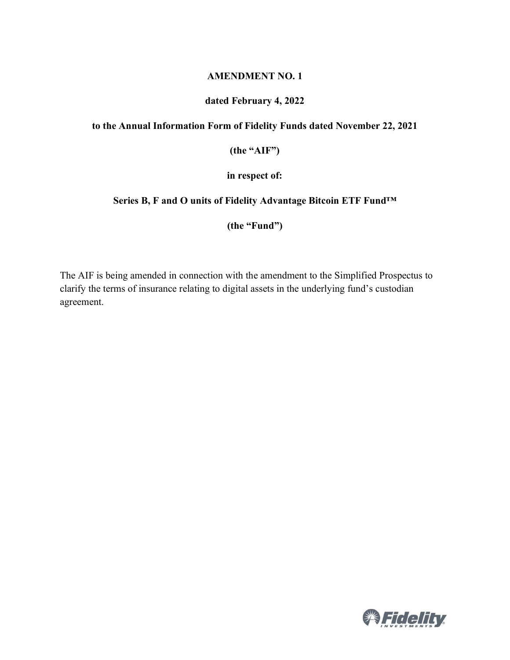#### **AMENDMENT NO. 1**

## **dated February 4, 2022**

### **to the Annual Information Form of Fidelity Funds dated November 22, 2021**

**(the "AIF")**

**in respect of:**

### **Series B, F and O units of Fidelity Advantage Bitcoin ETF Fund™**

**(the "Fund")**

The AIF is being amended in connection with the amendment to the Simplified Prospectus to clarify the terms of insurance relating to digital assets in the underlying fund's custodian agreement.